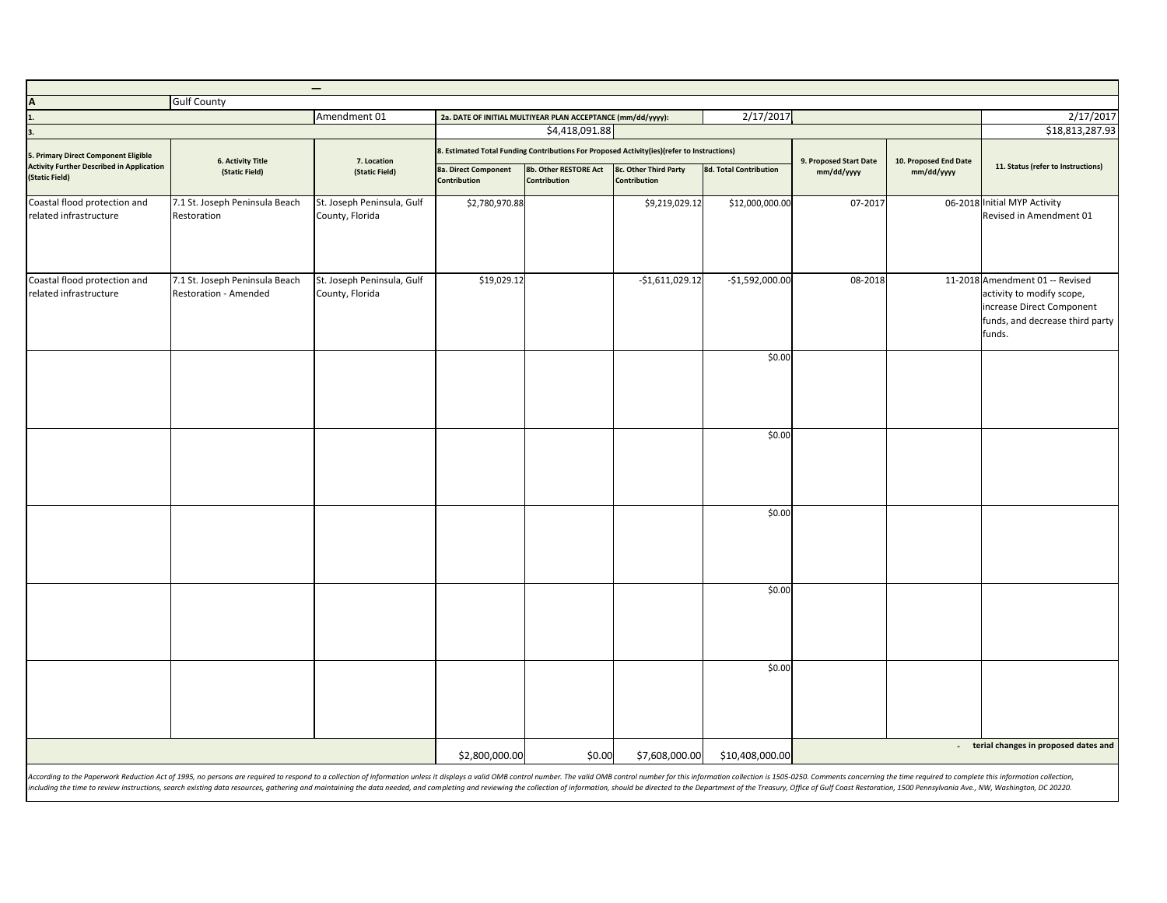|                                                                                          |                                                         | $\overline{\phantom{0}}$                      |                                                                                                                                                                                        |                                                             |                  |                        |                                      |                                     |                                                                                                                                        |
|------------------------------------------------------------------------------------------|---------------------------------------------------------|-----------------------------------------------|----------------------------------------------------------------------------------------------------------------------------------------------------------------------------------------|-------------------------------------------------------------|------------------|------------------------|--------------------------------------|-------------------------------------|----------------------------------------------------------------------------------------------------------------------------------------|
| $\overline{A}$                                                                           | <b>Gulf County</b>                                      | Amendment 01                                  |                                                                                                                                                                                        |                                                             |                  | 2/17/2017              |                                      |                                     | 2/17/2017                                                                                                                              |
|                                                                                          |                                                         |                                               |                                                                                                                                                                                        | 2a. DATE OF INITIAL MULTIYEAR PLAN ACCEPTANCE (mm/dd/yyyy): |                  |                        |                                      |                                     | \$18,813,287.93                                                                                                                        |
| 5. Primary Direct Component Eligible<br><b>Activity Further Described in Application</b> | <b>6. Activity Title</b><br>(Static Field)              | 7. Location<br>(Static Field)                 | \$4,418,091.88<br>8. Estimated Total Funding Contributions For Proposed Activity(ies)(refer to Instructions)<br>8b. Other RESTORE Act<br>8c. Other Third Party<br>8a. Direct Component |                                                             |                  | 8d. Total Contribution | 9. Proposed Start Date<br>mm/dd/yyyy | 10. Proposed End Date<br>mm/dd/yyyy | 11. Status (refer to Instructions)                                                                                                     |
| (Static Field)                                                                           |                                                         |                                               | Contribution                                                                                                                                                                           | Contribution                                                | Contribution     |                        |                                      |                                     |                                                                                                                                        |
| Coastal flood protection and<br>related infrastructure                                   | 7.1 St. Joseph Peninsula Beach<br>Restoration           | St. Joseph Peninsula, Gulf<br>County, Florida | \$2,780,970.88                                                                                                                                                                         |                                                             | \$9,219,029.12   | \$12,000,000.00        | 07-2017                              |                                     | 06-2018 Initial MYP Activity<br>Revised in Amendment 01                                                                                |
| Coastal flood protection and<br>related infrastructure                                   | 7.1 St. Joseph Peninsula Beach<br>Restoration - Amended | St. Joseph Peninsula, Gulf<br>County, Florida | \$19,029.12                                                                                                                                                                            |                                                             | $-$1,611,029.12$ | $-$1,592,000.00$       | 08-2018                              |                                     | 11-2018 Amendment 01 -- Revised<br>activity to modify scope,<br>increase Direct Component<br>funds, and decrease third party<br>funds. |
|                                                                                          |                                                         |                                               |                                                                                                                                                                                        |                                                             |                  | \$0.00                 |                                      |                                     |                                                                                                                                        |
|                                                                                          |                                                         |                                               |                                                                                                                                                                                        |                                                             |                  | \$0.00                 |                                      |                                     |                                                                                                                                        |
|                                                                                          |                                                         |                                               |                                                                                                                                                                                        |                                                             |                  | \$0.00                 |                                      |                                     |                                                                                                                                        |
|                                                                                          |                                                         |                                               |                                                                                                                                                                                        |                                                             |                  | \$0.00                 |                                      |                                     |                                                                                                                                        |
|                                                                                          |                                                         |                                               |                                                                                                                                                                                        |                                                             |                  | \$0.00                 |                                      |                                     |                                                                                                                                        |
|                                                                                          |                                                         |                                               | \$2,800,000.00                                                                                                                                                                         | \$0.00                                                      | \$7,608,000.00   | \$10,408,000.00        |                                      |                                     | - terial changes in proposed dates and                                                                                                 |

According to the Paperwork Reduction Act of 1995, no persons are required to respond to a collection of information unless it displays a valid OMB control number. The valid OMB control number for this information collectio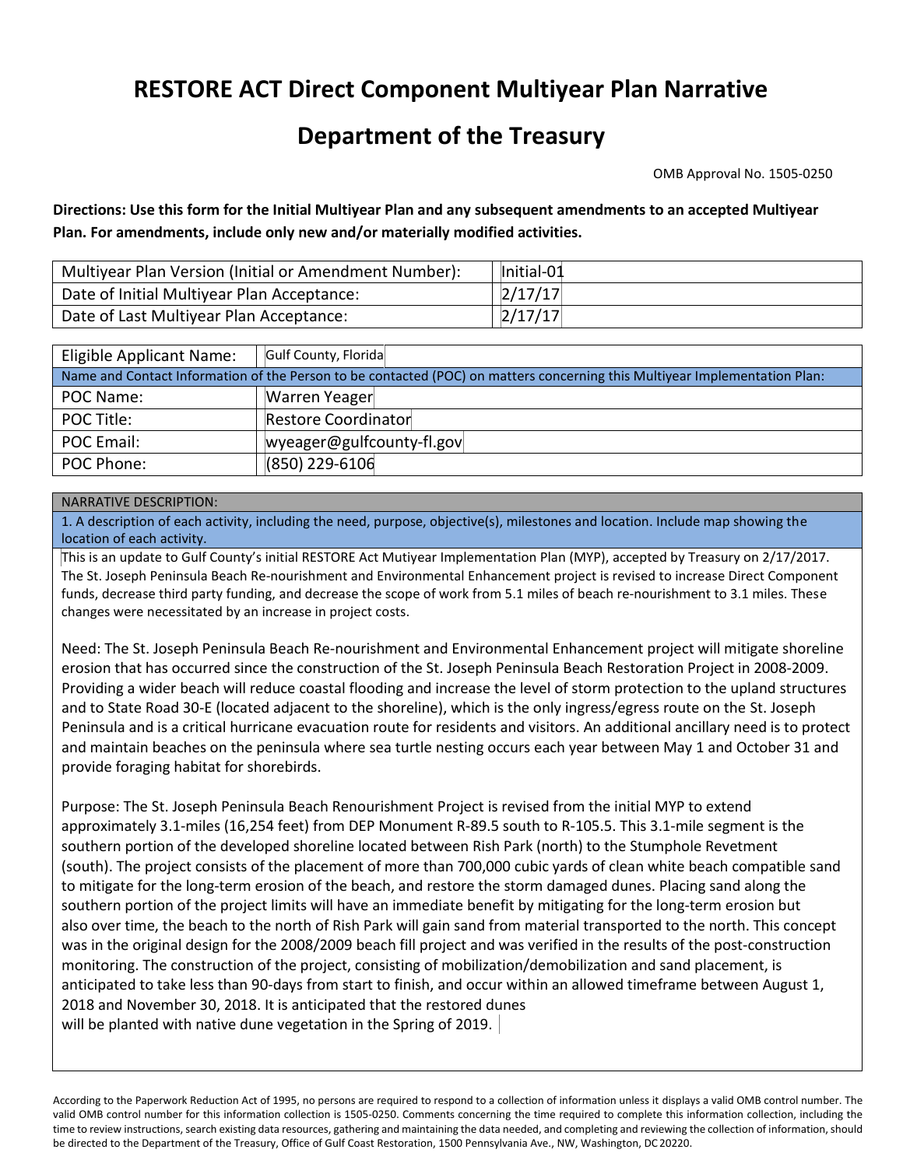## **RESTORE ACT Direct Component Multiyear Plan Narrative**

## **Department of the Treasury**

OMB Approval No. 1505‐0250

 **Plan. For amendments, include only new and/or materially modified activities. Directions: Use this form for the Initial Multiyear Plan and any subsequent amendments to an accepted Multiyear** 

| Multiyear Plan Version (Initial or Amendment Number): | Initial-01 |
|-------------------------------------------------------|------------|
| Date of Initial Multiyear Plan Acceptance:            | 2/17/17    |
| Date of Last Multiyear Plan Acceptance:               | 2/17/17    |

| Eligible Applicant Name:                                                                                                   | Gulf County, Florida      |  |  |  |  |  |
|----------------------------------------------------------------------------------------------------------------------------|---------------------------|--|--|--|--|--|
| Name and Contact Information of the Person to be contacted (POC) on matters concerning this Multiyear Implementation Plan: |                           |  |  |  |  |  |
| POC Name:                                                                                                                  | Warren Yeager             |  |  |  |  |  |
| POC Title:                                                                                                                 | Restore Coordinator       |  |  |  |  |  |
| POC Email:                                                                                                                 | wyeager@gulfcounty-fl.gov |  |  |  |  |  |
| POC Phone:                                                                                                                 | $(850)$ 229-6106          |  |  |  |  |  |

## NARRATIVE DESCRIPTION:

1. A description of each activity, including the need, purpose, objective(s), milestones and location. Include map showing the location of each activity.

This is an update to Gulf County's initial RESTORE Act Mutiyear Implementation Plan (MYP), accepted by Treasury on 2/17/2017. The St. Joseph Peninsula Beach Re‐nourishment and Environmental Enhancement project is revised to increase Direct Component funds, decrease third party funding, and decrease the scope of work from 5.1 miles of beach re-nourishment to 3.1 miles. These changes were necessitated by an increase in project costs.

 and maintain beaches on the peninsula where sea turtle nesting occurs each year between May 1 and October 31 and Need: The St. Joseph Peninsula Beach Re‐nourishment and Environmental Enhancement project will mitigate shoreline erosion that has occurred since the construction of the St. Joseph Peninsula Beach Restoration Project in 2008‐2009. Providing a wider beach will reduce coastal flooding and increase the level of storm protection to the upland structures and to State Road 30‐E (located adjacent to the shoreline), which is the only ingress/egress route on the St. Joseph Peninsula and is a critical hurricane evacuation route for residents and visitors. An additional ancillary need is to protect provide foraging habitat for shorebirds.

 Purpose: The St. Joseph Peninsula Beach Renourishment Project is revised from the initial MYP to extend approximately 3.1‐miles (16,254 feet) from DEP Monument R‐89.5 south to R‐105.5. This 3.1‐mile segment is the southern portion of the developed shoreline located between Rish Park (north) to the Stumphole Revetment (south). The project consists of the placement of more than 700,000 cubic yards of clean white beach compatible sand to mitigate for the long‐term erosion of the beach, and restore the storm damaged dunes. Placing sand along the southern portion of the project limits will have an immediate benefit by mitigating for the long-term erosion but also over time, the beach to the north of Rish Park will gain sand from material transported to the north. This concept was in the original design for the 2008/2009 beach fill project and was verified in the results of the post-construction monitoring. The construction of the project, consisting of mobilization/demobilization and sand placement, is anticipated to take less than 90-days from start to finish, and occur within an allowed timeframe between August 1, 2018 and November 30, 2018. It is anticipated that the restored dunes will be planted with native dune vegetation in the Spring of 2019.

 According to the Paperwork Reduction Act of 1995, no persons are required to respond to a collection of information unless it displays a valid OMB control number. The valid OMB control number for this information collection is 1505‐0250. Comments concerning the time required to complete this information collection, including the time to review instructions, search existing data resources, gathering and maintaining the data needed, and completing and reviewing the collection of information, should be directed to the Department of the Treasury, Office of Gulf Coast Restoration, 1500 Pennsylvania Ave., NW, Washington, DC 20220.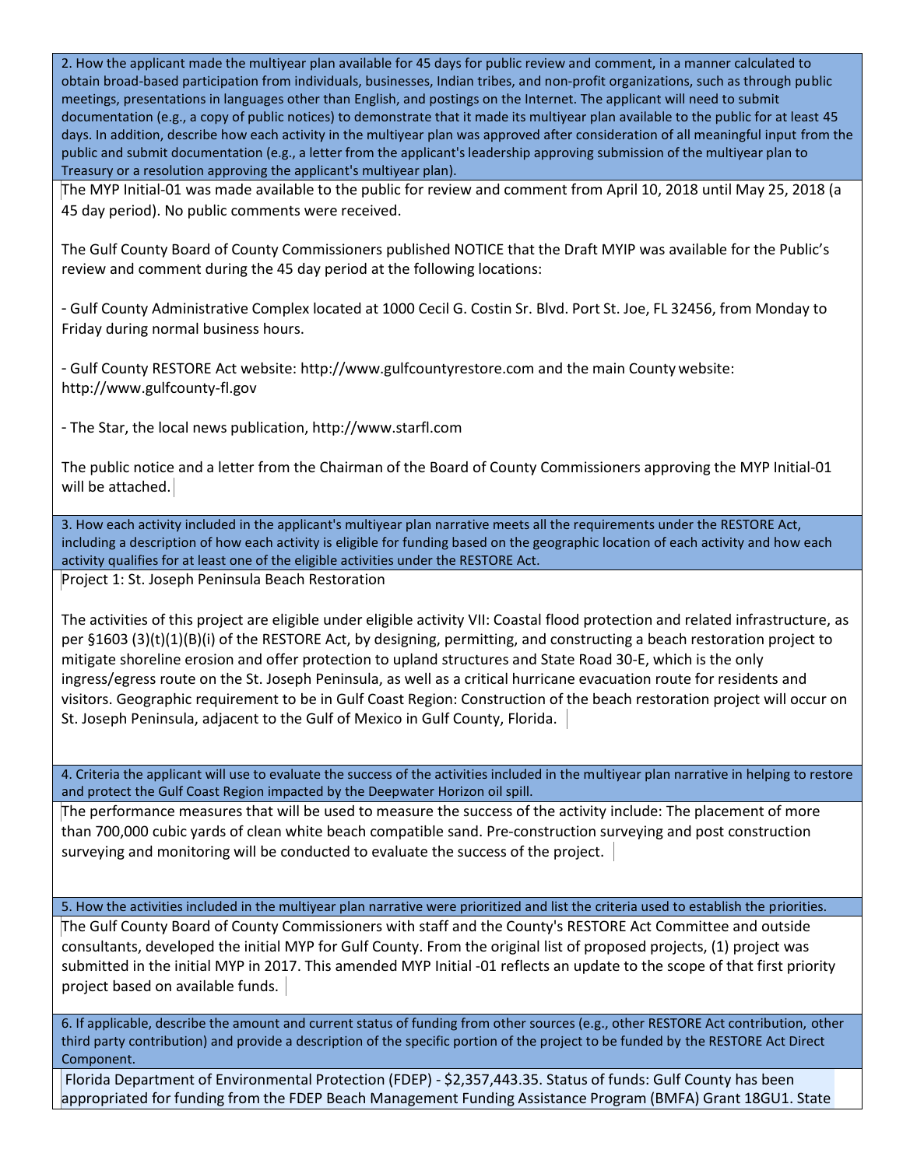2. How the applicant made the multiyear plan available for 45 days for public review and comment, in a manner calculated to obtain broad‐based participation from individuals, businesses, Indian tribes, and non‐profit organizations, such as through public meetings, presentations in languages other than English, and postings on the Internet. The applicant will need to submit documentation (e.g., a copy of public notices) to demonstrate that it made its multiyear plan available to the public for at least 45 days. In addition, describe how each activity in the multiyear plan was approved after consideration of all meaningful input from the public and submit documentation (e.g., a letter from the applicant's leadership approving submission of the multiyear plan to Treasury or a resolution approving the applicant's multiyear plan).

The MYP Initial‐01 was made available to the public for review and comment from April 10, 2018 until May 25, 2018 (a 45 day period). No public comments were received.

The Gulf County Board of County Commissioners published NOTICE that the Draft MYIP was available for the Public's review and comment during the 45 day period at the following locations:

<sup>−</sup> Gulf County Administrative Complex located at 1000 Cecil G. Costin Sr. Blvd. Port St. Joe, FL 32456, from Monday to Friday during normal business hours.

<sup>−</sup> Gulf County RESTORE Act website[: http://www.gulfcountyrestore.com a](http://www.gulfcountyrestore.com/)nd the main County website: http://www.gulfcounty‐fl.gov

<sup>−</sup> The Star, the local news publication[, http://www.starfl.com](http://www.starfl.com/) 

The public notice and a letter from the Chairman of the Board of County Commissioners approving the MYP Initial‐01 will be attached.

3. How each activity included in the applicant's multiyear plan narrative meets all the requirements under the RESTORE Act, including a description of how each activity is eligible for funding based on the geographic location of each activity and how each activity qualifies for at least one of the eligible activities under the RESTORE Act.

Project 1: St. Joseph Peninsula Beach Restoration

The activities of this project are eligible under eligible activity VII: Coastal flood protection and related infrastructure, as per §1603 (3)(t)(1)(B)(i) of the RESTORE Act, by designing, permitting, and constructing a beach restoration project to mitigate shoreline erosion and offer protection to upland structures and State Road 30‐E, which is the only ingress/egress route on the St. Joseph Peninsula, as well as a critical hurricane evacuation route for residents and visitors. Geographic requirement to be in Gulf Coast Region: Construction of the beach restoration project will occur on St. Joseph Peninsula, adjacent to the Gulf of Mexico in Gulf County, Florida.

4. Criteria the applicant will use to evaluate the success of the activities included in the multiyear plan narrative in helping to restore and protect the Gulf Coast Region impacted by the Deepwater Horizon oil spill.

The performance measures that will be used to measure the success of the activity include: The placement of more than 700,000 cubic yards of clean white beach compatible sand. Pre‐construction surveying and post construction surveying and monitoring will be conducted to evaluate the success of the project.

5. How the activities included in the multiyear plan narrative were prioritized and list the criteria used to establish the priorities.

The Gulf County Board of County Commissioners with staff and the County's RESTORE Act Committee and outside consultants, developed the initial MYP for Gulf County. From the original list of proposed projects, (1) project was submitted in the initial MYP in 2017. This amended MYP Initial ‐01 reflects an update to the scope of that first priority project based on available funds.

6. If applicable, describe the amount and current status of funding from other sources (e.g., other RESTORE Act contribution, other third party contribution) and provide a description of the specific portion of the project to be funded by the RESTORE Act Direct Component.

Florida Department of Environmental Protection (FDEP) ‐ \$2,357,443.35. Status of funds: Gulf County has been appropriated for funding from the FDEP Beach Management Funding Assistance Program (BMFA) Grant 18GU1. State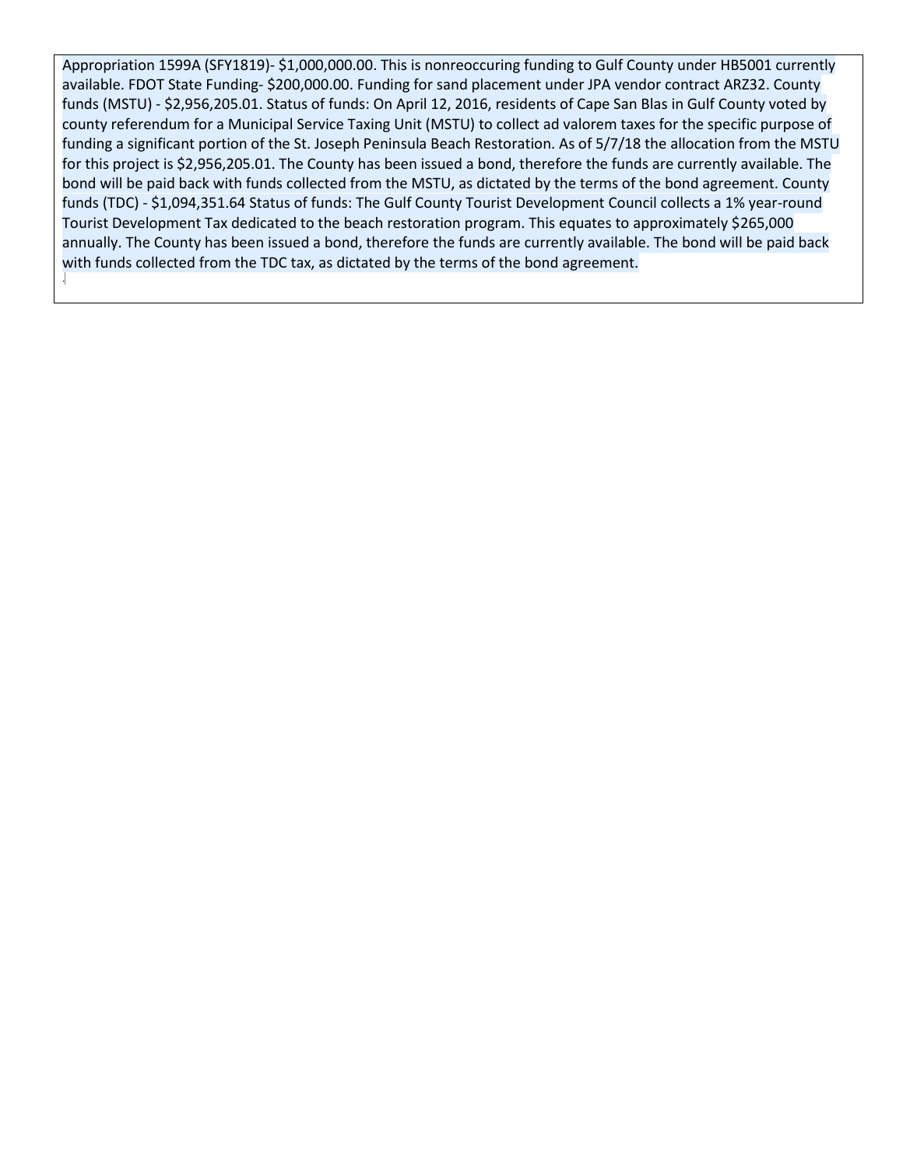funds (MSTU) ‐ \$2,956,205.01. Status of funds: On April 12, 2016, residents of Cape San Blas in Gulf County voted by county referendum for a Municipal Service Taxing Unit (MSTU) to collect ad valorem taxes for the specific purpose of Appropriation 1599A (SFY1819)‐ \$1,000,000.00. This is nonreoccuring funding to Gulf County under HB5001 currently available. FDOT State Funding‐ \$200,000.00. Funding for sand placement under JPA vendor contract ARZ32. County funding a significant portion of the St. Joseph Peninsula Beach Restoration. As of 5/7/18 the allocation from the MSTU for this project is \$2,956,205.01. The County has been issued a bond, therefore the funds are currently available. The bond will be paid back with funds collected from the MSTU, as dictated by the terms of the bond agreement. County funds (TDC) - \$1,094,351.64 Status of funds: The Gulf County Tourist Development Council collects a 1% year-round Tourist Development Tax dedicated to the beach restoration program. This equates to approximately \$265,000 annually. The County has been issued a bond, therefore the funds are currently available. The bond will be paid back with funds collected from the TDC tax, as dictated by the terms of the bond agreement.

.